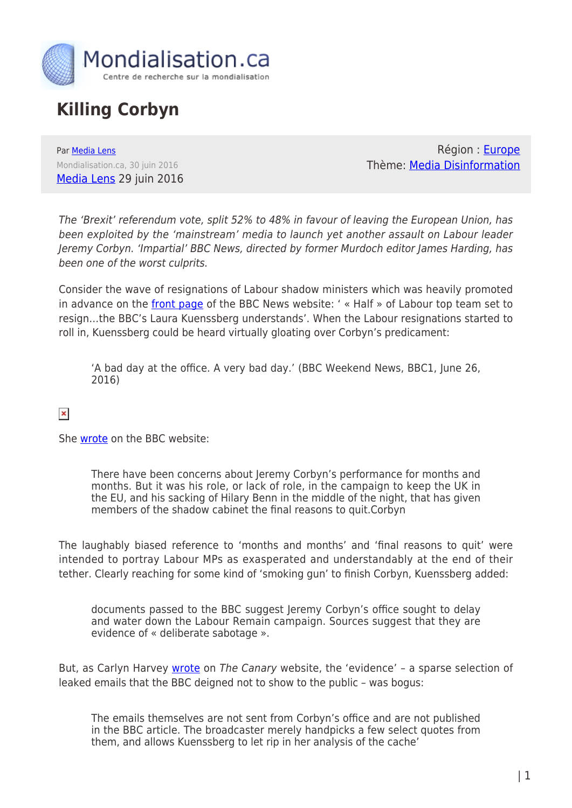

## **Killing Corbyn**

Par [Media Lens](https://www.mondialisation.ca/author/media-lens) Mondialisation.ca, 30 juin 2016 [Media Lens](http://medialens.org/index.php/alerts/alert-archive/2016/822-killing-corbyn.html) 29 juin 2016

Région : [Europe](https://www.mondialisation.ca/region/europe) Thème: [Media Disinformation](https://www.mondialisation.ca/theme/media-disinformation)

The 'Brexit' referendum vote, split 52% to 48% in favour of leaving the European Union, has been exploited by the 'mainstream' media to launch yet another assault on Labour leader Jeremy Corbyn. 'Impartial' BBC News, directed by former Murdoch editor James Harding, has been one of the worst culprits.

Consider the wave of resignations of Labour shadow ministers which was heavily promoted in advance on the [front page](http://ow.ly/SFiq301IvOJ) of the BBC News website: ' « Half » of Labour top team set to resign…the BBC's Laura Kuenssberg understands'. When the Labour resignations started to roll in, Kuenssberg could be heard virtually gloating over Corbyn's predicament:

'A bad day at the office. A very bad day.' (BBC Weekend News, BBC1, June 26, 2016)

 $\pmb{\times}$ 

She [wrote](http://www.bbc.com/news/uk-politics-36633238) on the BBC website:

There have been concerns about Jeremy Corbyn's performance for months and months. But it was his role, or lack of role, in the campaign to keep the UK in the EU, and his sacking of Hilary Benn in the middle of the night, that has given members of the shadow cabinet the final reasons to quit.Corbyn

The laughably biased reference to 'months and months' and 'final reasons to quit' were intended to portray Labour MPs as exasperated and understandably at the end of their tether. Clearly reaching for some kind of 'smoking gun' to finish Corbyn, Kuenssberg added:

documents passed to the BBC suggest Jeremy Corbyn's office sought to delay and water down the Labour Remain campaign. Sources suggest that they are evidence of « deliberate sabotage ».

But, as Carlyn Harvey [wrote](http://www.thecanary.co/2016/06/27/bbc-puts-full-weight-behind-corbyn-coup-bogus-evidence/) on The Canary website, the 'evidence' - a sparse selection of leaked emails that the BBC deigned not to show to the public – was bogus:

The emails themselves are not sent from Corbyn's office and are not published in the BBC article. The broadcaster merely handpicks a few select quotes from them, and allows Kuenssberg to let rip in her analysis of the cache'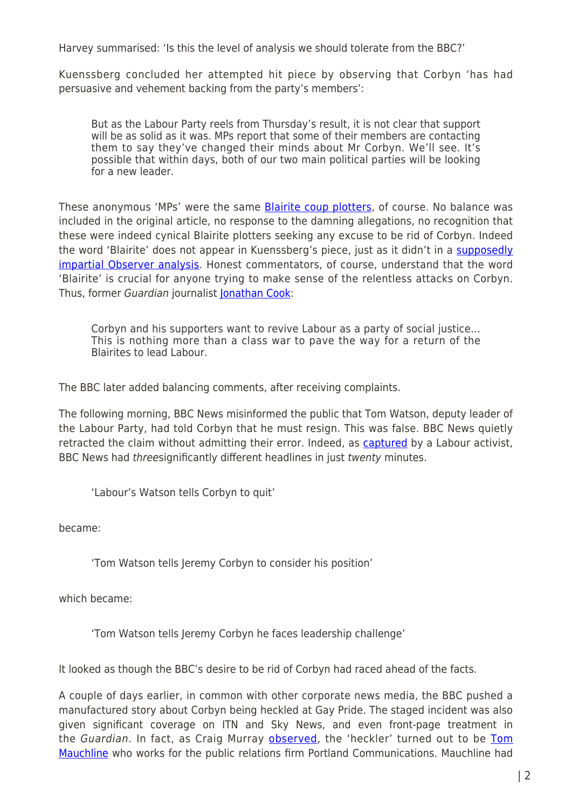Harvey summarised: 'Is this the level of analysis we should tolerate from the BBC?'

Kuenssberg concluded her attempted hit piece by observing that Corbyn 'has had persuasive and vehement backing from the party's members':

But as the Labour Party reels from Thursday's result, it is not clear that support will be as solid as it was. MPs report that some of their members are contacting them to say they've changed their minds about Mr Corbyn. We'll see. It's possible that within days, both of our two main political parties will be looking for a new leader.

These anonymous 'MPs' were the same [Blairite coup plotters,](http://www.thecanary.co/2016/06/28/truth-behind-labour-coup-really-began-manufactured-exclusive/) of course. No balance was included in the original article, no response to the damning allegations, no recognition that these were indeed cynical Blairite plotters seeking any excuse to be rid of Corbyn. Indeed the word 'Blairite' does not appear in Kuenssberg's piece, just as it didn't in a [supposedly](http://www.theguardian.com/politics/2016/jun/26/hilary-benn-revolt-jeremy-corbyn) [impartial Observer analysis](http://www.theguardian.com/politics/2016/jun/26/hilary-benn-revolt-jeremy-corbyn). Honest commentators, of course, understand that the word 'Blairite' is crucial for anyone trying to make sense of the relentless attacks on Corbyn. Thus, former Guardian journalist [Jonathan Cook:](http://www.jonathan-cook.net/blog/2016-05-03/the-true-anti-semites-past-and-present/#sthash.r4y3hQg3.OgDxvsGh.dpuf)

Corbyn and his supporters want to revive Labour as a party of social justice… This is nothing more than a class war to pave the way for a return of the Blairites to lead Labour.

The BBC later added balancing comments, after receiving complaints.

The following morning, BBC News misinformed the public that Tom Watson, deputy leader of the Labour Party, had told Corbyn that he must resign. This was false. BBC News quietly retracted the claim without admitting their error. Indeed, as [captured](https://twitter.com/LabourEoin/status/747372537122795520) by a Labour activist, BBC News had *threesignificantly different headlines in just twenty minutes.* 

'Labour's Watson tells Corbyn to quit'

became:

'Tom Watson tells Jeremy Corbyn to consider his position'

which became:

'Tom Watson tells Jeremy Corbyn he faces leadership challenge'

It looked as though the BBC's desire to be rid of Corbyn had raced ahead of the facts.

A couple of days earlier, in common with other corporate news media, the BBC pushed a manufactured story about Corbyn being heckled at Gay Pride. The staged incident was also given significant coverage on ITN and Sky News, and even front-page treatment in the Guardian. In fact, as Craig Murray [observed](https://www.craigmurray.org.uk/archives/2016/06/news-agenda-set/), the 'heckler' turned out to be [Tom](https://twitter.com/TomMauchline) [Mauchline](https://twitter.com/TomMauchline) who works for the public relations firm Portland Communications. Mauchline had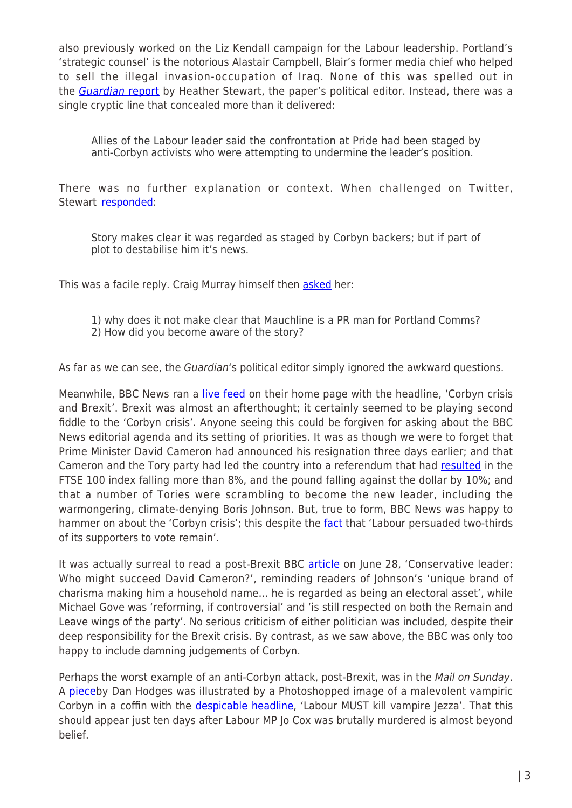also previously worked on the Liz Kendall campaign for the Labour leadership. Portland's 'strategic counsel' is the notorious Alastair Campbell, Blair's former media chief who helped to sell the illegal invasion-occupation of Iraq. None of this was spelled out in the [Guardian](http://www.theguardian.com/politics/2016/jun/25/jeremy-corbyn-vows-to-face-down-any-leadership-challenge-brexit) [report](http://www.theguardian.com/politics/2016/jun/25/jeremy-corbyn-vows-to-face-down-any-leadership-challenge-brexit) by Heather Stewart, the paper's political editor. Instead, there was a single cryptic line that concealed more than it delivered:

Allies of the Labour leader said the confrontation at Pride had been staged by anti-Corbyn activists who were attempting to undermine the leader's position.

There was no further explanation or context. When challenged on Twitter, Stewart [responded:](https://twitter.com/GuardianHeather/status/746743222513319936)

Story makes clear it was regarded as staged by Corbyn backers; but if part of plot to destabilise him it's news.

This was a facile reply. Craig Murray himself then [asked](https://twitter.com/CraigMurrayOrg/status/746951250445475840) her:

- 1) why does it not make clear that Mauchline is a PR man for Portland Comms?
- 2) How did you become aware of the story?

As far as we can see, the Guardian's political editor simply ignored the awkward questions.

Meanwhile, BBC News ran a [live feed](http://ow.ly/7Wtg301GlKk) on their home page with the headline, 'Corbyn crisis and Brexit'. Brexit was almost an afterthought; it certainly seemed to be playing second fiddle to the 'Corbyn crisis'. Anyone seeing this could be forgiven for asking about the BBC News editorial agenda and its setting of priorities. It was as though we were to forget that Prime Minister David Cameron had announced his resignation three days earlier; and that Cameron and the Tory party had led the country into a referendum that had [resulted](http://www.bbc.co.uk/news/business-36611512) in the FTSE 100 index falling more than 8%, and the pound falling against the dollar by 10%; and that a number of Tories were scrambling to become the new leader, including the warmongering, climate-denying Boris Johnson. But, true to form, BBC News was happy to hammer on about the 'Corbyn crisis'; this despite the [fact](https://www.theguardian.com/commentisfree/2016/jun/26/corbyn-leader-brexit-labour-rebels-sabotage) that 'Labour persuaded two-thirds of its supporters to vote remain'.

It was actually surreal to read a post-Brexit BBC [article](http://www.bbc.com/news/uk-politics-36618738) on June 28, 'Conservative leader: Who might succeed David Cameron?', reminding readers of Johnson's 'unique brand of charisma making him a household name… he is regarded as being an electoral asset', while Michael Gove was 'reforming, if controversial' and 'is still respected on both the Remain and Leave wings of the party'. No serious criticism of either politician was included, despite their deep responsibility for the Brexit crisis. By contrast, as we saw above, the BBC was only too happy to include damning judgements of Corbyn.

Perhaps the worst example of an anti-Corbyn attack, post-Brexit, was in the Mail on Sunday. A [pieceb](http://www.dailymail.co.uk/debate/article-3660328/Labour-kill-vampire-Jezza-MPs-don-t-vote-Jexit-party-doomed-says-DAN-HODGES.html)y Dan Hodges was illustrated by a Photoshopped image of a malevolent vampiric Corbyn in a coffin with the *despicable headline*, 'Labour MUST kill vampire Jezza'. That this should appear just ten days after Labour MP Jo Cox was brutally murdered is almost beyond belief.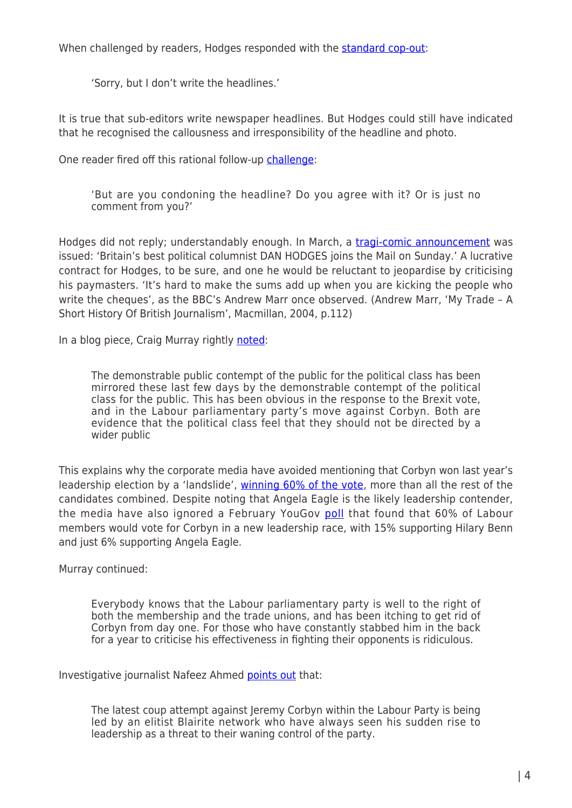When challenged by readers, Hodges responded with the [standard cop-out:](https://twitter.com/DPJHodges/status/747113864433639424)

'Sorry, but I don't write the headlines.'

It is true that sub-editors write newspaper headlines. But Hodges could still have indicated that he recognised the callousness and irresponsibility of the headline and photo.

One reader fired off this rational follow-up [challenge:](https://twitter.com/Damian0706/status/747138787784986624)

'But are you condoning the headline? Do you agree with it? Or is just no comment from you?'

Hodges did not reply; understandably enough. In March, a [tragi-comic announcement](http://www.dailymail.co.uk/debate/article-3489693/March-Corbinators-Britain-s-best-political-columnist-DAN-HODGES-joins-Mail-Sunday-reveals-Labour-plot-ditch-Corbyn.html) was issued: 'Britain's best political columnist DAN HODGES joins the Mail on Sunday.' A lucrative contract for Hodges, to be sure, and one he would be reluctant to jeopardise by criticising his paymasters. 'It's hard to make the sums add up when you are kicking the people who write the cheques', as the BBC's Andrew Marr once observed. (Andrew Marr, 'My Trade – A Short History Of British Journalism', Macmillan, 2004, p.112)

In a blog piece, Craig Murray rightly [noted:](https://www.craigmurray.org.uk/archives/2016/06/multiple-crises-democracy/)

The demonstrable public contempt of the public for the political class has been mirrored these last few days by the demonstrable contempt of the political class for the public. This has been obvious in the response to the Brexit vote, and in the Labour parliamentary party's move against Corbyn. Both are evidence that the political class feel that they should not be directed by a wider public

This explains why the corporate media have avoided mentioning that Corbyn won last year's leadership election by a 'landslide', [winning 60% of the vote](https://twitter.com/medialens/status/747447540640006144), more than all the rest of the candidates combined. Despite noting that Angela Eagle is the likely leadership contender, the media have also ignored a February YouGov [poll](https://twitter.com/medialens/status/747685383203356673) that found that 60% of Labour members would vote for Corbyn in a new leadership race, with 15% supporting Hilary Benn and just 6% supporting Angela Eagle.

Murray continued:

Everybody knows that the Labour parliamentary party is well to the right of both the membership and the trade unions, and has been itching to get rid of Corbyn from day one. For those who have constantly stabbed him in the back for a year to criticise his effectiveness in fighting their opponents is ridiculous.

Investigative journalist Nafeez Ahmed [points out](http://www.thecanary.co/2016/06/27/tony-blairs-crony-elite-want-to-snatch-labour-back-from-the-working-class/) that:

The latest coup attempt against Jeremy Corbyn within the Labour Party is being led by an elitist Blairite network who have always seen his sudden rise to leadership as a threat to their waning control of the party.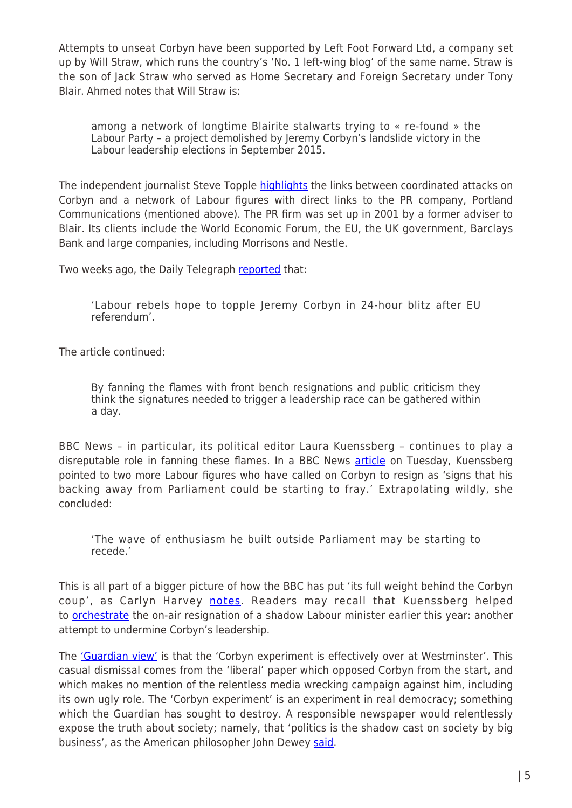Attempts to unseat Corbyn have been supported by Left Foot Forward Ltd, a company set up by Will Straw, which runs the country's 'No. 1 left-wing blog' of the same name. Straw is the son of Jack Straw who served as Home Secretary and Foreign Secretary under Tony Blair. Ahmed notes that Will Straw is:

among a network of longtime Blairite stalwarts trying to « re-found » the Labour Party – a project demolished by Jeremy Corbyn's landslide victory in the Labour leadership elections in September 2015.

The independent journalist Steve Topple [highlights](http://www.thecanary.co/2016/06/28/truth-behind-labour-coup-really-began-manufactured-exclusive/) the links between coordinated attacks on Corbyn and a network of Labour figures with direct links to the PR company, Portland Communications (mentioned above). The PR firm was set up in 2001 by a former adviser to Blair. Its clients include the World Economic Forum, the EU, the UK government, Barclays Bank and large companies, including Morrisons and Nestle.

Two weeks ago, the Daily Telegraph [reported](http://www.telegraph.co.uk/news/2016/06/13/labour-rebels-hope-to-topple-jeremy-corbyn-in-24-hour-blitz-afte/) that:

'Labour rebels hope to topple Jeremy Corbyn in 24-hour blitz after EU referendum'.

The article continued:

By fanning the flames with front bench resignations and public criticism they think the signatures needed to trigger a leadership race can be gathered within a day.

BBC News – in particular, its political editor Laura Kuenssberg – continues to play a disreputable role in fanning these flames. In a BBC News [article](http://www.bbc.co.uk/news/uk-politics-36647464) on Tuesday, Kuenssberg pointed to two more Labour figures who have called on Corbyn to resign as 'signs that his backing away from Parliament could be starting to fray.' Extrapolating wildly, she concluded:

'The wave of enthusiasm he built outside Parliament may be starting to recede.'

This is all part of a bigger picture of how the BBC has put 'its full weight behind the Corbyn coup', as Carlyn Harvey [notes.](http://www.thecanary.co/2016/06/27/bbc-puts-full-weight-behind-corbyn-coup-bogus-evidence/) Readers may recall that Kuenssberg helped to [orchestrate](http://medialens.org/index.php/alerts/alert-archive/2016/810-our-only-fear-was-that-he-might-pull-his-punches-bbc-caught-manipulating-the-news.html) the on-air resignation of a shadow Labour minister earlier this year: another attempt to undermine Corbyn's leadership.

The ['Guardian view'](https://www.theguardian.com/commentisfree/2016/jun/28/the-guardian-view-on-jeremy-corbyn-after-the-experiment) is that the 'Corbyn experiment is effectively over at Westminster'. This casual dismissal comes from the 'liberal' paper which opposed Corbyn from the start, and which makes no mention of the relentless media wrecking campaign against him, including its own ugly role. The 'Corbyn experiment' is an experiment in real democracy; something which the Guardian has sought to destroy. A responsible newspaper would relentlessly expose the truth about society; namely, that 'politics is the shadow cast on society by big business', as the American philosopher John Dewey [said](https://en.wikiquote.org/wiki/John_Dewey).